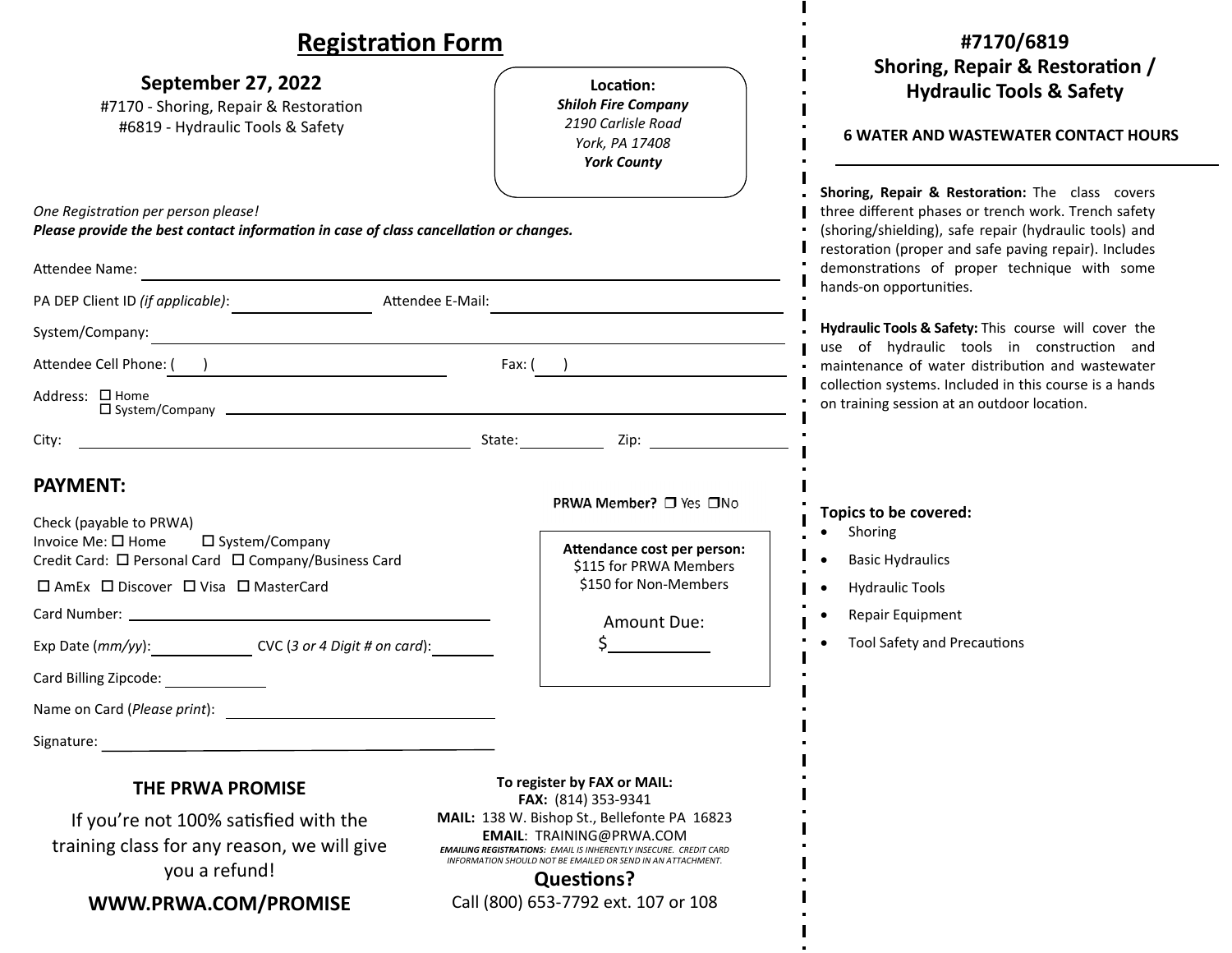| <b>Registration Form</b>                                                                                                                                                                                                                                                |                                                                                                                                                                                                                                                                                                       | #7170/6819                                                                                                                                                                                                                                                                                            |
|-------------------------------------------------------------------------------------------------------------------------------------------------------------------------------------------------------------------------------------------------------------------------|-------------------------------------------------------------------------------------------------------------------------------------------------------------------------------------------------------------------------------------------------------------------------------------------------------|-------------------------------------------------------------------------------------------------------------------------------------------------------------------------------------------------------------------------------------------------------------------------------------------------------|
| September 27, 2022<br>#7170 - Shoring, Repair & Restoration<br>#6819 - Hydraulic Tools & Safety                                                                                                                                                                         | Location:<br><b>Shiloh Fire Company</b><br>2190 Carlisle Road<br>York, PA 17408<br><b>York County</b>                                                                                                                                                                                                 | Shoring, Repair & Restoration /<br><b>Hydraulic Tools &amp; Safety</b><br><b>6 WATER AND WASTEWATER CONTACT HOURS</b>                                                                                                                                                                                 |
| One Registration per person please!<br>Please provide the best contact information in case of class cancellation or changes.<br>Attendee Name:<br><u> 1980 - Johann Barbara, martin da basar da basar da basar da basar da basar da basar da basar da basar da basa</u> |                                                                                                                                                                                                                                                                                                       | Shoring, Repair & Restoration: The class covers<br>three different phases or trench work. Trench safety<br>(shoring/shielding), safe repair (hydraulic tools) and<br>restoration (proper and safe paving repair). Includes<br>demonstrations of proper technique with some<br>hands-on opportunities. |
| PA DEP Client ID (if applicable):<br>Attendee E-Mail:<br>System/Company:<br><u> 1980 - John Stein, mars and de Britain and de Britain and de Britain and de Britain and de Britain and de Br</u><br>Attendee Cell Phone: ( )<br>Address: □ Home                         | Fax: (   )                                                                                                                                                                                                                                                                                            | Hydraulic Tools & Safety: This course will cover the<br>use of hydraulic tools in construction and<br>maintenance of water distribution and wastewater<br>collection systems. Included in this course is a hands<br>on training session at an outdoor location.                                       |
| City: the contract of the contract of the contract of the contract of the contract of the contract of the contract of the contract of the contract of the contract of the contract of the contract of the contract of the cont<br><b>PAYMENT:</b>                       | State: Zip: Zip:<br>PRWA Member? □ Yes □No                                                                                                                                                                                                                                                            |                                                                                                                                                                                                                                                                                                       |
| Check (payable to PRWA)<br>Invoice Me: □ Home<br>□ System/Company<br>Credit Card: □ Personal Card □ Company/Business Card<br>□ AmEx □ Discover □ Visa □ MasterCard<br>Exp Date $(mm/yy)$ : $\qquad \qquad \text{CVC}$ (3 or 4 Digit # on card):                         | Attendance cost per person:<br>\$115 for PRWA Members<br>\$150 for Non-Members<br>Amount Due:                                                                                                                                                                                                         | Topics to be covered:<br>Shoring<br><b>Basic Hydraulics</b><br><b>Hydraulic Tools</b><br>Repair Equipment<br><b>Tool Safety and Precautions</b>                                                                                                                                                       |
| Card Billing Zipcode:<br>Name on Card (Please print):<br>Signature:                                                                                                                                                                                                     |                                                                                                                                                                                                                                                                                                       |                                                                                                                                                                                                                                                                                                       |
| <b>THE PRWA PROMISE</b><br>If you're not 100% satisfied with the<br>training class for any reason, we will give<br>you a refund!                                                                                                                                        | To register by FAX or MAIL:<br>FAX: (814) 353-9341<br>MAIL: 138 W. Bishop St., Bellefonte PA 16823<br><b>EMAIL: TRAINING@PRWA.COM</b><br><b>EMAILING REGISTRATIONS: EMAIL IS INHERENTLY INSECURE. CREDIT CARD</b><br>INFORMATION SHOULD NOT BE EMAILED OR SEND IN AN ATTACHMENT.<br><b>Questions?</b> |                                                                                                                                                                                                                                                                                                       |

**WWW.PRWA.COM/PROMISE**

Call (800) 653‐7792 ext. 107 or 108

 $\blacksquare$ 

L